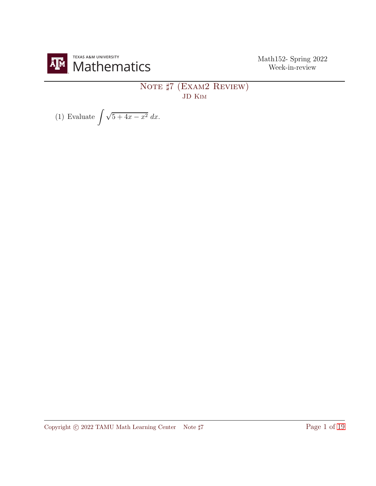

## NOTE  $\sharp 7$  (EXAM2 REVIEW) JD Kim

(1) Evaluate 
$$
\int \sqrt{5+4x-x^2} \ dx.
$$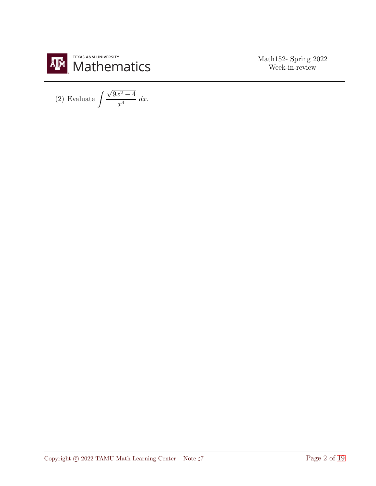

(2) Evaluate 
$$
\int \frac{\sqrt{9x^2 - 4}}{x^4} dx.
$$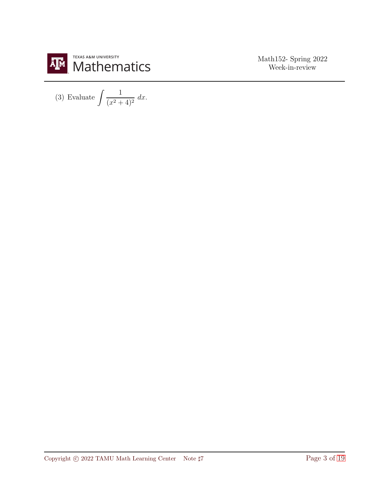

(3) Evaluate 
$$
\int \frac{1}{(x^2+4)^2} dx.
$$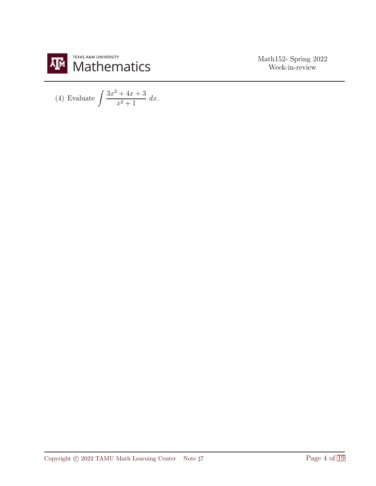

(4) Evaluate 
$$
\int \frac{3x^2 + 4x + 3}{x^2 + 1} dx
$$
.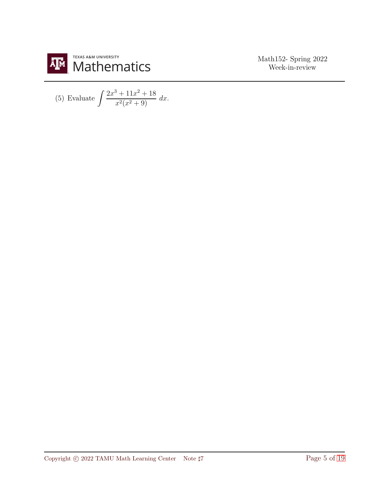

(5) Evaluate 
$$
\int \frac{2x^3 + 11x^2 + 18}{x^2(x^2 + 9)} dx.
$$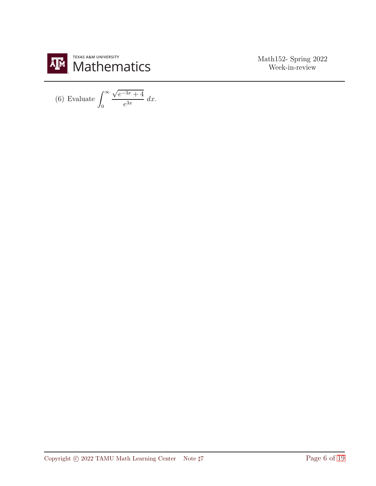

(6) Evaluate  $\int_{0}^{\infty}$ 0  $\sqrt{e^{-3x}+4}$  $\frac{e^{3x}}{e^{3x}}$  dx.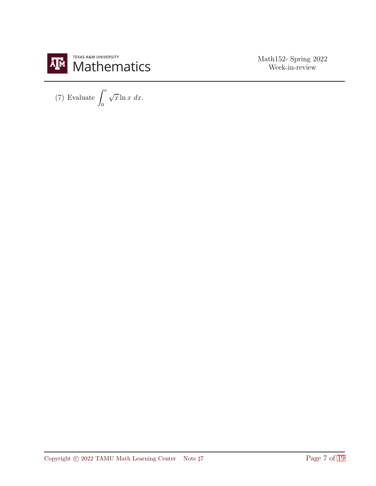

(7) Evaluate  $\int_0^e$  $\overline{0}$  $\sqrt{x}\ln x \, dx.$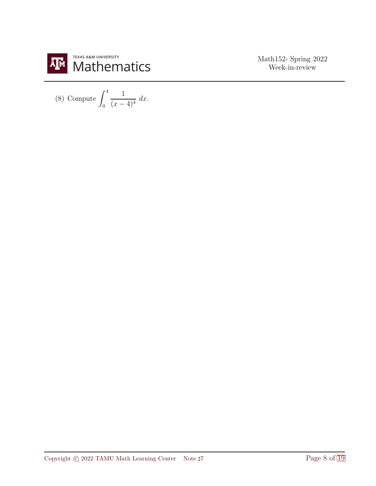

(8) Compute 
$$
\int_0^4 \frac{1}{(x-4)^4} dx
$$
.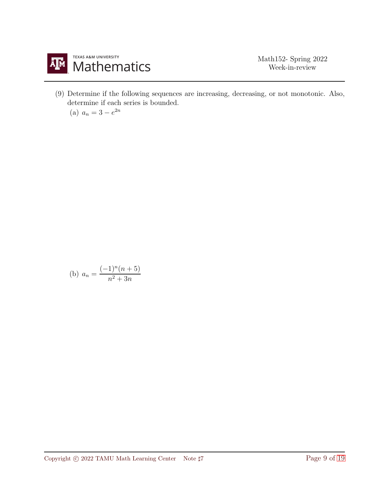

(9) Determine if the following sequences are increasing, decreasing, or not monotonic. Also, determine if each series is bounded.

(a)  $a_n = 3 - e^{2n}$ 

(b) 
$$
a_n = \frac{(-1)^n(n+5)}{n^2+3n}
$$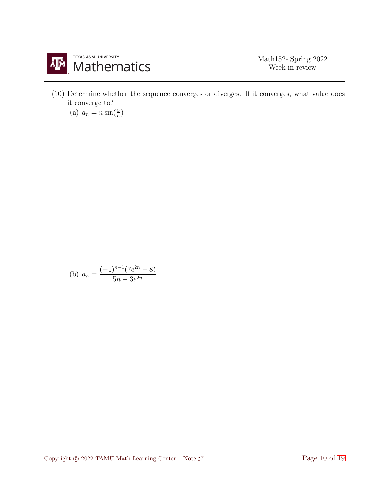

(10) Determine whether the sequence converges or diverges. If it converges, what value does it converge to?

(a) 
$$
a_n = n \sin(\frac{5}{n})
$$

(b) 
$$
a_n = \frac{(-1)^{n-1}(7e^{2n} - 8)}{5n - 3e^{2n}}
$$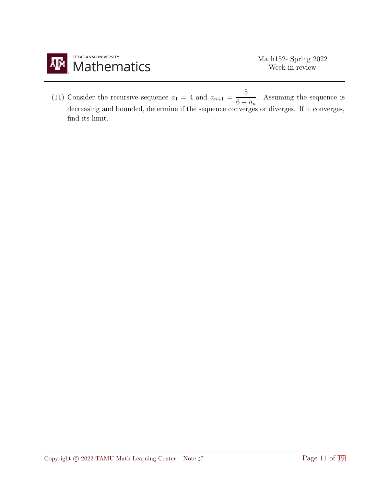

(11) Consider the recursive sequence  $a_1 = 4$  and  $a_{n+1} = \frac{5}{6}$  $\frac{6}{6-a_n}$ . Assuming the sequence is decreasing and bounded, determine if the sequence converges or diverges. If it converges, find its limit.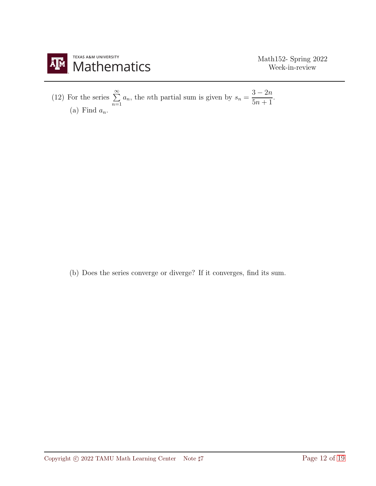

(12) For the series  $\sum_{n=1}^{\infty}$  $\overline{n=1}$  $a_n$ , the *n*th partial sum is given by  $s_n = \frac{3-2n}{5n+1}$  $\frac{5n+1}{5n+1}$ (a) Find  $a_n$ .

(b) Does the series converge or diverge? If it converges, find its sum.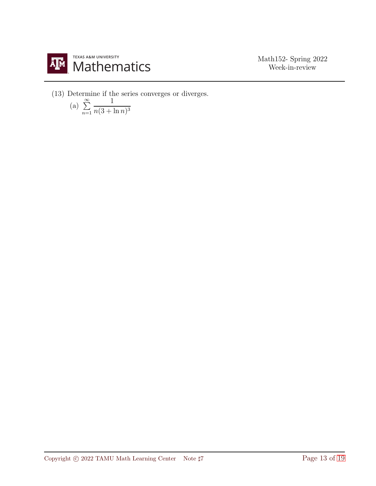

(13) Determine if the series converges or diverges.

(a) 
$$
\sum_{n=1}^{\infty} \frac{1}{n(3 + \ln n)^3}
$$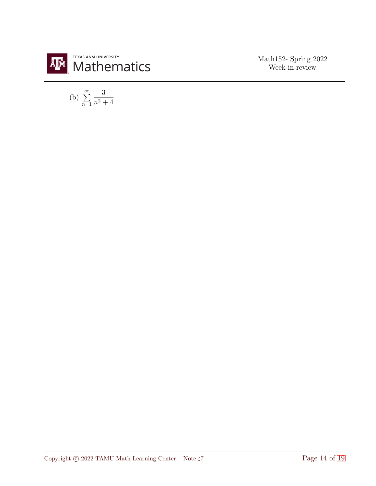

(b) 
$$
\sum_{n=1}^{\infty} \frac{3}{n^2 + 4}
$$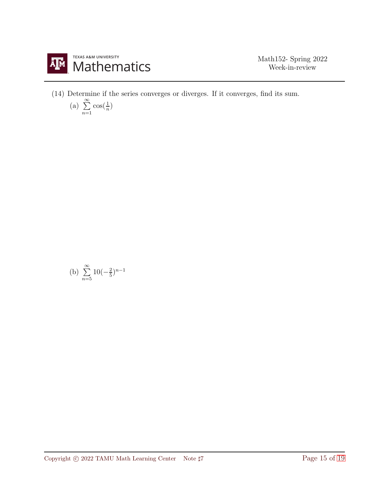

(14) Determine if the series converges or diverges. If it converges, find its sum.

(a) 
$$
\sum_{n=1}^{\infty} \cos(\frac{1}{n})
$$

(b) 
$$
\sum_{n=5}^{\infty} 10(-\frac{2}{5})^{n-1}
$$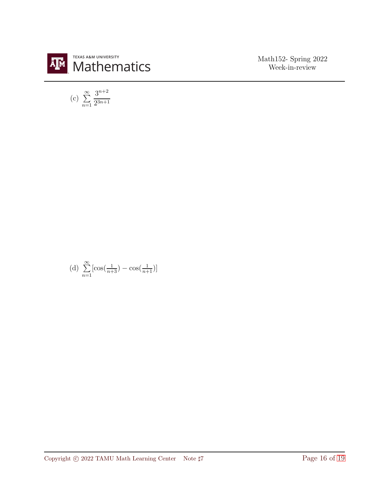

(c) 
$$
\sum_{n=1}^{\infty} \frac{3^{n+2}}{2^{3n+1}}
$$

(d) 
$$
\sum_{n=1}^{\infty} \left[ \cos\left(\frac{1}{n+3}\right) - \cos\left(\frac{1}{n+1}\right) \right]
$$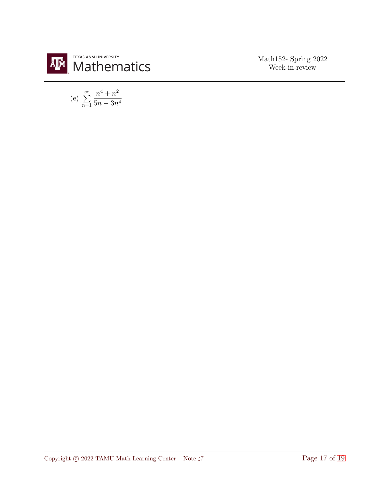

(e) 
$$
\sum_{n=1}^{\infty} \frac{n^4 + n^2}{5n - 3n^4}
$$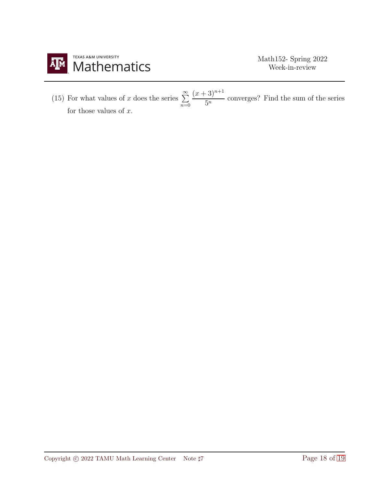

(15) For what values of x does the series  $\sum^{\infty}$  $\bar{n=0}$  $(x+3)^{n+1}$  $rac{5^n}{5^n}$  converges? Find the sum of the series for those values of  $x$ .